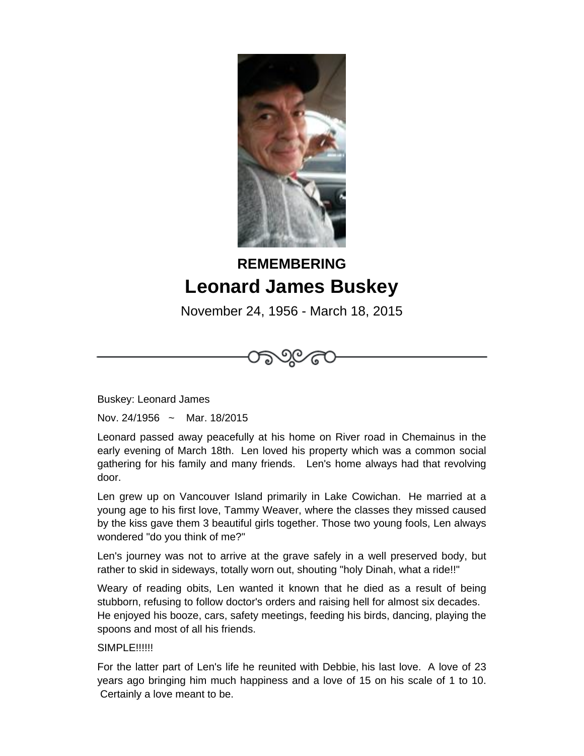

## **REMEMBERING Leonard James Buskey**

November 24, 1956 - March 18, 2015

೧೯೬

Buskey: Leonard James

Nov. 24/1956 ~ Mar. 18/2015

Leonard passed away peacefully at his home on River road in Chemainus in the early evening of March 18th. Len loved his property which was a common social gathering for his family and many friends. Len's home always had that revolving door.

Len grew up on Vancouver Island primarily in Lake Cowichan. He married at a young age to his first love, Tammy Weaver, where the classes they missed caused by the kiss gave them 3 beautiful girls together. Those two young fools, Len always wondered "do you think of me?"

Len's journey was not to arrive at the grave safely in a well preserved body, but rather to skid in sideways, totally worn out, shouting "holy Dinah, what a ride!!"

Weary of reading obits, Len wanted it known that he died as a result of being stubborn, refusing to follow doctor's orders and raising hell for almost six decades. He enjoyed his booze, cars, safety meetings, feeding his birds, dancing, playing the spoons and most of all his friends.

## SIMPLE!!!!!!

For the latter part of Len's life he reunited with Debbie, his last love. A love of 23 years ago bringing him much happiness and a love of 15 on his scale of 1 to 10. Certainly a love meant to be.